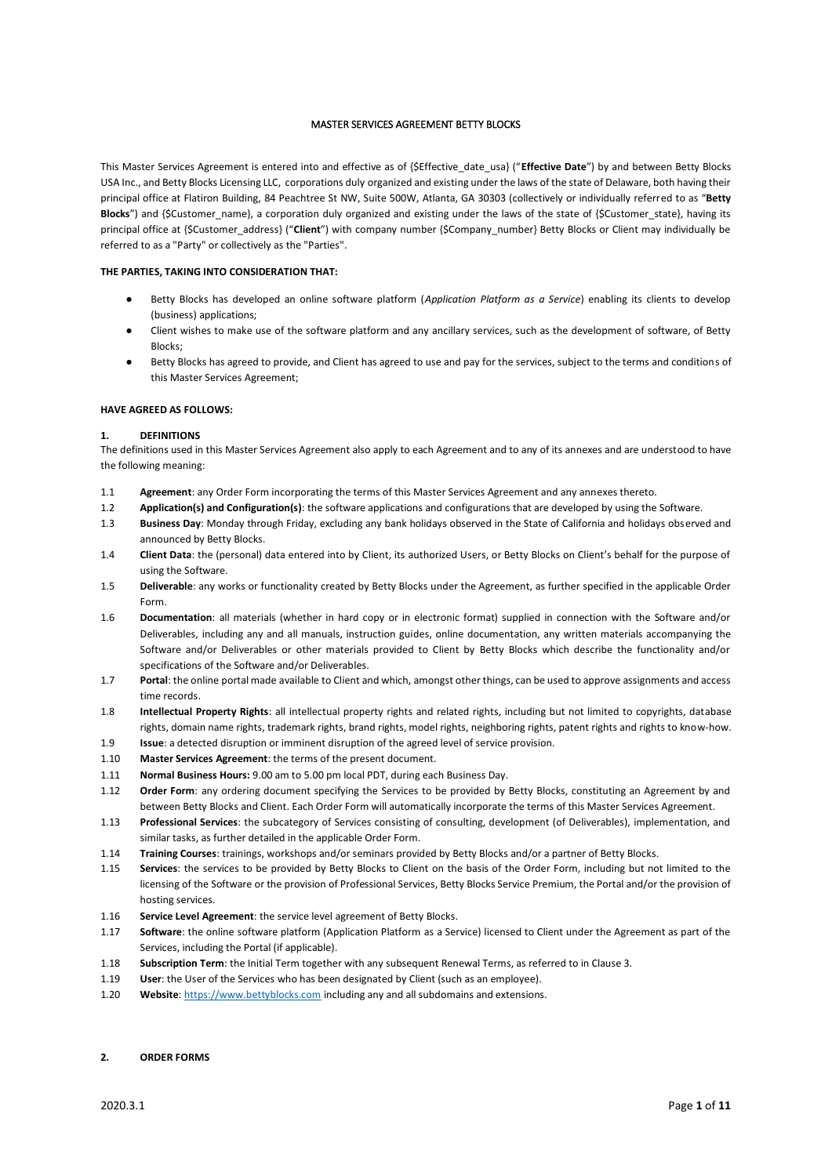#### MASTER SERVICES AGREEMENT BETTY BLOCKS

This Master Services Agreement is entered into and effective as of {\$Effective\_date\_usa} ("**Effective Date**") by and between Betty Blocks USA Inc., and Betty Blocks Licensing LLC, corporations duly organized and existing under the laws of the state of Delaware, both having their principal office at Flatiron Building, 84 Peachtree St NW, Suite 500W, Atlanta, GA 30303 (collectively or individually referred to as "**Betty Blocks**") and {\$Customer\_name}, a corporation duly organized and existing under the laws of the state of {\$Customer\_state}, having its principal office at {\$Customer\_address} ("**Client**") with company number {\$Company\_number} Betty Blocks or Client may individually be referred to as a "Party" or collectively as the "Parties".

#### **THE PARTIES, TAKING INTO CONSIDERATION THAT:**

- Betty Blocks has developed an online software platform (*Application Platform as a Service*) enabling its clients to develop (business) applications;
- Client wishes to make use of the software platform and any ancillary services, such as the development of software, of Betty Blocks;
- Betty Blocks has agreed to provide, and Client has agreed to use and pay for the services, subject to the terms and conditions of this Master Services Agreement;

#### **HAVE AGREED AS FOLLOWS:**

#### **1. DEFINITIONS**

The definitions used in this Master Services Agreement also apply to each Agreement and to any of its annexes and are understood to have the following meaning:

- 1.1 **Agreement**: any Order Form incorporating the terms of this Master Services Agreement and any annexes thereto.
- 1.2 **Application(s) and Configuration(s)**: the software applications and configurations that are developed by using the Software.
- 1.3 **Business Day**: Monday through Friday, excluding any bank holidays observed in the State of California and holidays observed and announced by Betty Blocks.
- 1.4 **Client Data**: the (personal) data entered into by Client, its authorized Users, or Betty Blocks on Client's behalf for the purpose of using the Software.
- 1.5 **Deliverable**: any works or functionality created by Betty Blocks under the Agreement, as further specified in the applicable Order Form.
- 1.6 **Documentation**: all materials (whether in hard copy or in electronic format) supplied in connection with the Software and/or Deliverables, including any and all manuals, instruction guides, online documentation, any written materials accompanying the Software and/or Deliverables or other materials provided to Client by Betty Blocks which describe the functionality and/or specifications of the Software and/or Deliverables.
- 1.7 **Portal**: the online portal made available to Client and which, amongst other things, can be used to approve assignments and access time records.
- 1.8 **Intellectual Property Rights**: all intellectual property rights and related rights, including but not limited to copyrights, database rights, domain name rights, trademark rights, brand rights, model rights, neighboring rights, patent rights and rights to know-how.
- 1.9 **Issue**: a detected disruption or imminent disruption of the agreed level of service provision.
- 1.10 **Master Services Agreement**: the terms of the present document.
- 1.11 **Normal Business Hours:** 9.00 am to 5.00 pm local PDT, during each Business Day.
- 1.12 **Order Form**: any ordering document specifying the Services to be provided by Betty Blocks, constituting an Agreement by and between Betty Blocks and Client. Each Order Form will automatically incorporate the terms of this Master Services Agreement.
- 1.13 **Professional Services**: the subcategory of Services consisting of consulting, development (of Deliverables), implementation, and similar tasks, as further detailed in the applicable Order Form.
- 1.14 **Training Courses**: trainings, workshops and/or seminars provided by Betty Blocks and/or a partner of Betty Blocks.
- 1.15 **Services**: the services to be provided by Betty Blocks to Client on the basis of the Order Form, including but not limited to the licensing of the Software or the provision of Professional Services, Betty Blocks Service Premium, the Portal and/or the provision of hosting services.
- 1.16 **Service Level Agreement**: the service level agreement of Betty Blocks.
- 1.17 **Software**: the online software platform (Application Platform as a Service) licensed to Client under the Agreement as part of the Services, including the Portal (if applicable).
- 1.18 **Subscription Term**: the Initial Term together with any subsequent Renewal Terms, as referred to in Clause 3.
- 1.19 **User**: the User of the Services who has been designated by Client (such as an employee).
- 1.20 **Website**: [https://www.bettyblocks.com](https://www.bettyblocks.com/) including any and all subdomains and extensions.

#### **2. ORDER FORMS**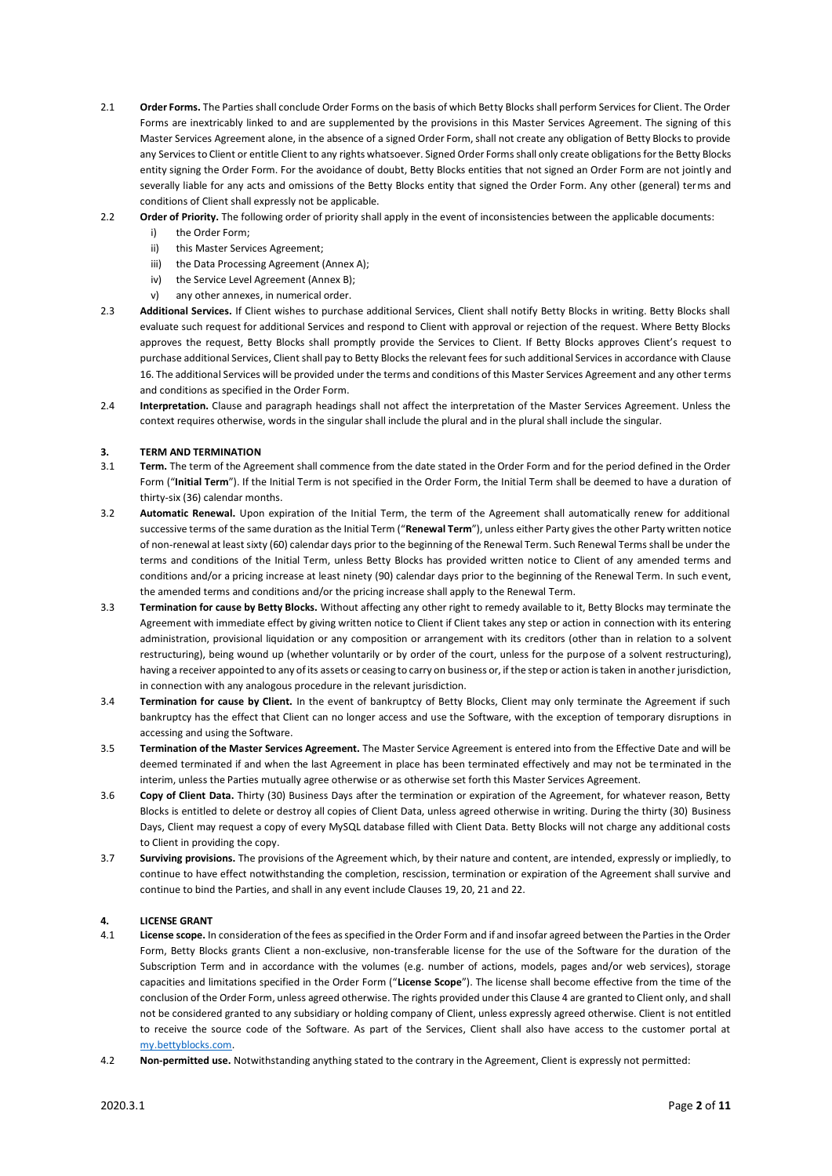- 2.1 **Order Forms.** The Parties shall conclude Order Forms on the basis of which Betty Blocks shall perform Services for Client. The Order Forms are inextricably linked to and are supplemented by the provisions in this Master Services Agreement. The signing of this Master Services Agreement alone, in the absence of a signed Order Form, shall not create any obligation of Betty Blocks to provide any Services to Client or entitle Client to any rights whatsoever. Signed Order Forms shall only create obligations for the Betty Blocks entity signing the Order Form. For the avoidance of doubt, Betty Blocks entities that not signed an Order Form are not jointly and severally liable for any acts and omissions of the Betty Blocks entity that signed the Order Form. Any other (general) terms and conditions of Client shall expressly not be applicable.
- 2.2 **Order of Priority.** The following order of priority shall apply in the event of inconsistencies between the applicable documents:
	- i) the Order Form;
	- ii) this Master Services Agreement;
	- iii) the Data Processing Agreement (Annex A);
	- iv) the Service Level Agreement (Annex B);
	- v) any other annexes, in numerical order.
- 2.3 **Additional Services.** If Client wishes to purchase additional Services, Client shall notify Betty Blocks in writing. Betty Blocks shall evaluate such request for additional Services and respond to Client with approval or rejection of the request. Where Betty Blocks approves the request, Betty Blocks shall promptly provide the Services to Client. If Betty Blocks approves Client's request to purchase additional Services, Client shall pay to Betty Blocks the relevant fees for such additional Services in accordance with Clause 16. The additional Services will be provided under the terms and conditions of this Master Services Agreement and any other terms and conditions as specified in the Order Form.
- 2.4 **Interpretation.** Clause and paragraph headings shall not affect the interpretation of the Master Services Agreement. Unless the context requires otherwise, words in the singular shall include the plural and in the plural shall include the singular.

#### **3. TERM AND TERMINATION**

- 3.1 **Term.** The term of the Agreement shall commence from the date stated in the Order Form and for the period defined in the Order Form ("**Initial Term**"). If the Initial Term is not specified in the Order Form, the Initial Term shall be deemed to have a duration of thirty-six (36) calendar months.
- 3.2 **Automatic Renewal.** Upon expiration of the Initial Term, the term of the Agreement shall automatically renew for additional successive terms of the same duration as the Initial Term ("**Renewal Term**"), unless either Party gives the other Party written notice of non-renewal at least sixty (60) calendar days prior to the beginning of the Renewal Term. Such Renewal Terms shall be under the terms and conditions of the Initial Term, unless Betty Blocks has provided written notice to Client of any amended terms and conditions and/or a pricing increase at least ninety (90) calendar days prior to the beginning of the Renewal Term. In such event, the amended terms and conditions and/or the pricing increase shall apply to the Renewal Term.
- 3.3 **Termination for cause by Betty Blocks.** Without affecting any other right to remedy available to it, Betty Blocks may terminate the Agreement with immediate effect by giving written notice to Client if Client takes any step or action in connection with its entering administration, provisional liquidation or any composition or arrangement with its creditors (other than in relation to a solvent restructuring), being wound up (whether voluntarily or by order of the court, unless for the purpose of a solvent restructuring), having a receiver appointed to any of its assets or ceasing to carry on business or, if the step or action is taken in another jurisdiction, in connection with any analogous procedure in the relevant jurisdiction.
- 3.4 **Termination for cause by Client.** In the event of bankruptcy of Betty Blocks, Client may only terminate the Agreement if such bankruptcy has the effect that Client can no longer access and use the Software, with the exception of temporary disruptions in accessing and using the Software.
- 3.5 **Termination of the Master Services Agreement.** The Master Service Agreement is entered into from the Effective Date and will be deemed terminated if and when the last Agreement in place has been terminated effectively and may not be terminated in the interim, unless the Parties mutually agree otherwise or as otherwise set forth this Master Services Agreement.
- 3.6 **Copy of Client Data.** Thirty (30) Business Days after the termination or expiration of the Agreement, for whatever reason, Betty Blocks is entitled to delete or destroy all copies of Client Data, unless agreed otherwise in writing. During the thirty (30) Business Days, Client may request a copy of every MySQL database filled with Client Data. Betty Blocks will not charge any additional costs to Client in providing the copy.
- 3.7 **Surviving provisions.** The provisions of the Agreement which, by their nature and content, are intended, expressly or impliedly, to continue to have effect notwithstanding the completion, rescission, termination or expiration of the Agreement shall survive and continue to bind the Parties, and shall in any event include Clauses 19, 20, 21 and 22.

#### **4. LICENSE GRANT**

- 4.1 **License scope.** In consideration of the fees as specified in the Order Form and if and insofar agreed between the Parties in the Order Form, Betty Blocks grants Client a non-exclusive, non-transferable license for the use of the Software for the duration of the Subscription Term and in accordance with the volumes (e.g. number of actions, models, pages and/or web services), storage capacities and limitations specified in the Order Form ("**License Scope**"). The license shall become effective from the time of the conclusion of the Order Form, unless agreed otherwise. The rights provided under this Clause 4 are granted to Client only, and shall not be considered granted to any subsidiary or holding company of Client, unless expressly agreed otherwise. Client is not entitled to receive the source code of the Software. As part of the Services, Client shall also have access to the customer portal at [my.bettyblocks.com.](https://l.bettyblocks.com/login?service=https%3A%2F%2Fmy.bettyblocks.com%2F&uuid=95c73be26cc742b19cb590a449f2afab)
- 4.2 **Non-permitted use.** Notwithstanding anything stated to the contrary in the Agreement, Client is expressly not permitted: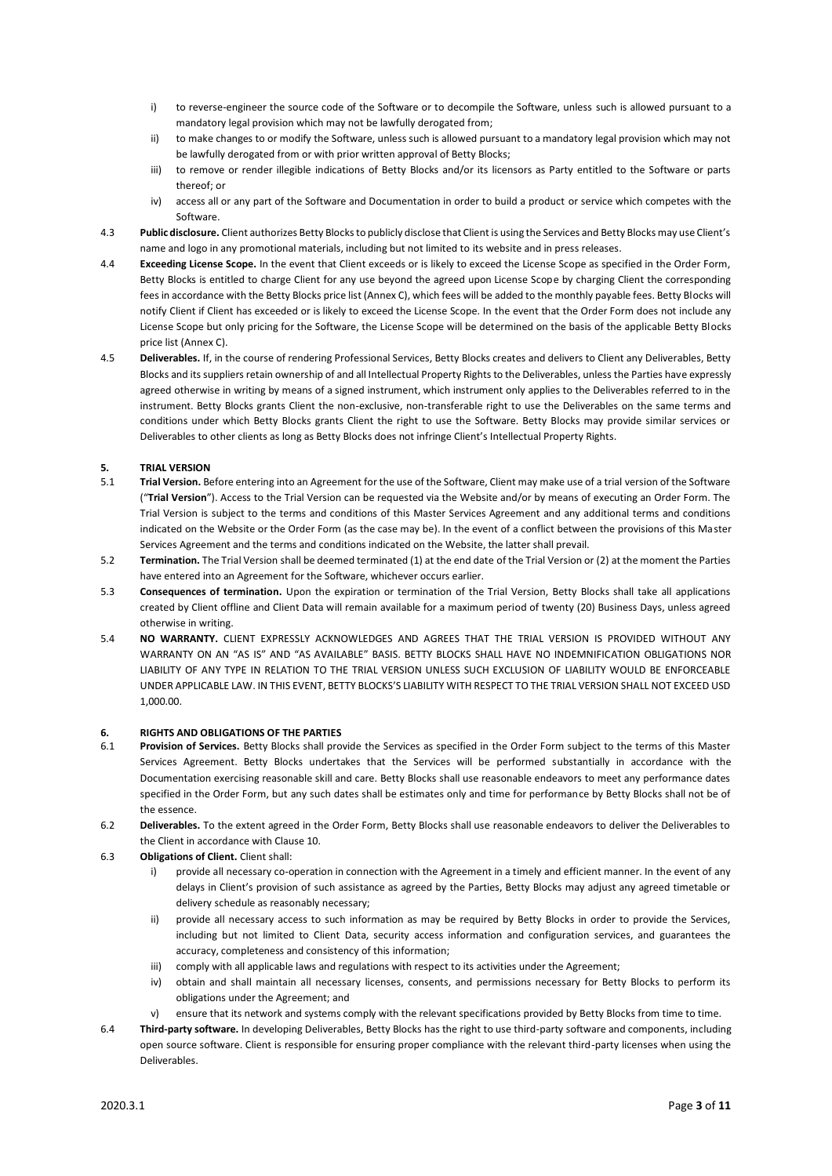- i) to reverse-engineer the source code of the Software or to decompile the Software, unless such is allowed pursuant to a mandatory legal provision which may not be lawfully derogated from;
- ii) to make changes to or modify the Software, unless such is allowed pursuant to a mandatory legal provision which may not be lawfully derogated from or with prior written approval of Betty Blocks;
- iii) to remove or render illegible indications of Betty Blocks and/or its licensors as Party entitled to the Software or parts thereof; or
- iv) access all or any part of the Software and Documentation in order to build a product or service which competes with the Software.
- 4.3 **Public disclosure.** Client authorizes Betty Blocks to publicly disclose that Client is using the Services and Betty Blocks may use Client's name and logo in any promotional materials, including but not limited to its website and in press releases.
- 4.4 **Exceeding License Scope.** In the event that Client exceeds or is likely to exceed the License Scope as specified in the Order Form, Betty Blocks is entitled to charge Client for any use beyond the agreed upon License Scope by charging Client the corresponding fees in accordance with the Betty Blocks price list (Annex C), which fees will be added to the monthly payable fees. Betty Blocks will notify Client if Client has exceeded or is likely to exceed the License Scope. In the event that the Order Form does not include any License Scope but only pricing for the Software, the License Scope will be determined on the basis of the applicable Betty Blocks price list (Annex C).
- 4.5 **Deliverables.** If, in the course of rendering Professional Services, Betty Blocks creates and delivers to Client any Deliverables, Betty Blocks and its suppliers retain ownership of and all Intellectual Property Rights to the Deliverables, unless the Parties have expressly agreed otherwise in writing by means of a signed instrument, which instrument only applies to the Deliverables referred to in the instrument. Betty Blocks grants Client the non-exclusive, non-transferable right to use the Deliverables on the same terms and conditions under which Betty Blocks grants Client the right to use the Software. Betty Blocks may provide similar services or Deliverables to other clients as long as Betty Blocks does not infringe Client's Intellectual Property Rights.

## **5. TRIAL VERSION**

- 5.1 **Trial Version.** Before entering into an Agreement for the use of the Software, Client may make use of a trial version of the Software ("**Trial Version**"). Access to the Trial Version can be requested via the Website and/or by means of executing an Order Form. The Trial Version is subject to the terms and conditions of this Master Services Agreement and any additional terms and conditions indicated on the Website or the Order Form (as the case may be). In the event of a conflict between the provisions of this Master Services Agreement and the terms and conditions indicated on the Website, the latter shall prevail.
- 5.2 **Termination.** The Trial Version shall be deemed terminated (1) at the end date of the Trial Version or (2) at the moment the Parties have entered into an Agreement for the Software, whichever occurs earlier.
- 5.3 **Consequences of termination.** Upon the expiration or termination of the Trial Version, Betty Blocks shall take all applications created by Client offline and Client Data will remain available for a maximum period of twenty (20) Business Days, unless agreed otherwise in writing.
- 5.4 **NO WARRANTY.** CLIENT EXPRESSLY ACKNOWLEDGES AND AGREES THAT THE TRIAL VERSION IS PROVIDED WITHOUT ANY WARRANTY ON AN "AS IS" AND "AS AVAILABLE" BASIS. BETTY BLOCKS SHALL HAVE NO INDEMNIFICATION OBLIGATIONS NOR LIABILITY OF ANY TYPE IN RELATION TO THE TRIAL VERSION UNLESS SUCH EXCLUSION OF LIABILITY WOULD BE ENFORCEABLE UNDER APPLICABLE LAW. IN THIS EVENT, BETTY BLOCKS'S LIABILITY WITH RESPECT TO THE TRIAL VERSION SHALL NOT EXCEED USD 1,000.00.

#### **6. RIGHTS AND OBLIGATIONS OF THE PARTIES**

- 6.1 **Provision of Services.** Betty Blocks shall provide the Services as specified in the Order Form subject to the terms of this Master Services Agreement. Betty Blocks undertakes that the Services will be performed substantially in accordance with the Documentation exercising reasonable skill and care. Betty Blocks shall use reasonable endeavors to meet any performance dates specified in the Order Form, but any such dates shall be estimates only and time for performance by Betty Blocks shall not be of the essence.
- 6.2 **Deliverables.** To the extent agreed in the Order Form, Betty Blocks shall use reasonable endeavors to deliver the Deliverables to the Client in accordance with Clause 10.
- 6.3 **Obligations of Client.** Client shall:
	- i) provide all necessary co-operation in connection with the Agreement in a timely and efficient manner. In the event of any delays in Client's provision of such assistance as agreed by the Parties, Betty Blocks may adjust any agreed timetable or delivery schedule as reasonably necessary;
	- ii) provide all necessary access to such information as may be required by Betty Blocks in order to provide the Services, including but not limited to Client Data, security access information and configuration services, and guarantees the accuracy, completeness and consistency of this information;
	- iii) comply with all applicable laws and regulations with respect to its activities under the Agreement;
	- iv) obtain and shall maintain all necessary licenses, consents, and permissions necessary for Betty Blocks to perform its obligations under the Agreement; and
	- v) ensure that its network and systems comply with the relevant specifications provided by Betty Blocks from time to time.
- 6.4 **Third-party software.** In developing Deliverables, Betty Blocks has the right to use third-party software and components, including open source software. Client is responsible for ensuring proper compliance with the relevant third-party licenses when using the Deliverables.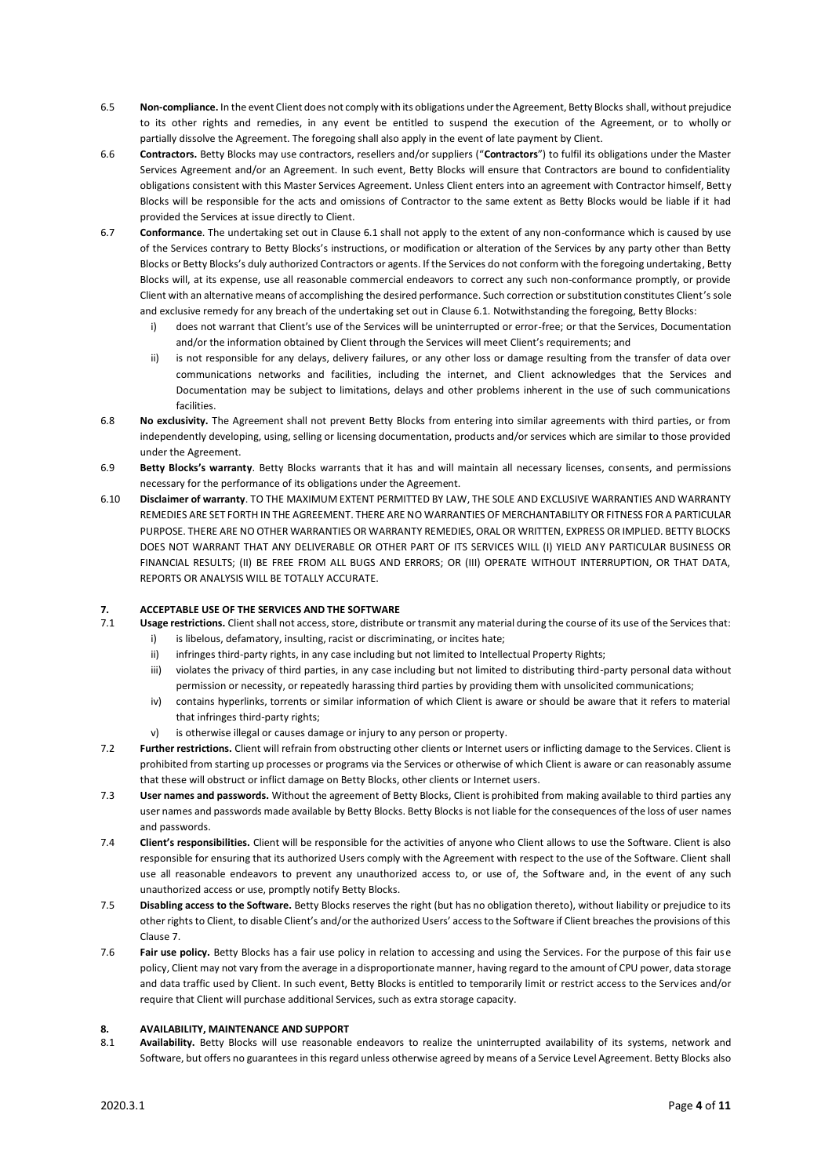- 6.5 **Non-compliance.** In the event Client does not comply with its obligations under the Agreement, Betty Blocks shall, without prejudice to its other rights and remedies, in any event be entitled to suspend the execution of the Agreement, or to wholly or partially dissolve the Agreement. The foregoing shall also apply in the event of late payment by Client.
- 6.6 **Contractors.** Betty Blocks may use contractors, resellers and/or suppliers ("**Contractors**") to fulfil its obligations under the Master Services Agreement and/or an Agreement. In such event, Betty Blocks will ensure that Contractors are bound to confidentiality obligations consistent with this Master Services Agreement. Unless Client enters into an agreement with Contractor himself, Betty Blocks will be responsible for the acts and omissions of Contractor to the same extent as Betty Blocks would be liable if it had provided the Services at issue directly to Client.
- 6.7 **Conformance**. The undertaking set out in Clause 6.1 shall not apply to the extent of any non-conformance which is caused by use of the Services contrary to Betty Blocks's instructions, or modification or alteration of the Services by any party other than Betty Blocks or Betty Blocks's duly authorized Contractors or agents. If the Services do not conform with the foregoing undertaking, Betty Blocks will, at its expense, use all reasonable commercial endeavors to correct any such non-conformance promptly, or provide Client with an alternative means of accomplishing the desired performance. Such correction or substitution constitutes Client's sole and exclusive remedy for any breach of the undertaking set out in Clause 6.1. Notwithstanding the foregoing, Betty Blocks:
	- i) does not warrant that Client's use of the Services will be uninterrupted or error-free; or that the Services, Documentation and/or the information obtained by Client through the Services will meet Client's requirements; and
	- ii) is not responsible for any delays, delivery failures, or any other loss or damage resulting from the transfer of data over communications networks and facilities, including the internet, and Client acknowledges that the Services and Documentation may be subject to limitations, delays and other problems inherent in the use of such communications facilities.
- 6.8 **No exclusivity.** The Agreement shall not prevent Betty Blocks from entering into similar agreements with third parties, or from independently developing, using, selling or licensing documentation, products and/or services which are similar to those provided under the Agreement.
- 6.9 **Betty Blocks's warranty**. Betty Blocks warrants that it has and will maintain all necessary licenses, consents, and permissions necessary for the performance of its obligations under the Agreement.
- 6.10 **Disclaimer of warranty**. TO THE MAXIMUM EXTENT PERMITTED BY LAW, THE SOLE AND EXCLUSIVE WARRANTIES AND WARRANTY REMEDIES ARE SET FORTH IN THE AGREEMENT. THERE ARE NO WARRANTIES OF MERCHANTABILITY OR FITNESS FOR A PARTICULAR PURPOSE. THERE ARE NO OTHER WARRANTIES OR WARRANTY REMEDIES, ORAL OR WRITTEN, EXPRESS OR IMPLIED. BETTY BLOCKS DOES NOT WARRANT THAT ANY DELIVERABLE OR OTHER PART OF ITS SERVICES WILL (I) YIELD ANY PARTICULAR BUSINESS OR FINANCIAL RESULTS; (II) BE FREE FROM ALL BUGS AND ERRORS; OR (III) OPERATE WITHOUT INTERRUPTION, OR THAT DATA, REPORTS OR ANALYSIS WILL BE TOTALLY ACCURATE.

# **7. ACCEPTABLE USE OF THE SERVICES AND THE SOFTWARE**

- 7.1 **Usage restrictions.** Client shall not access, store, distribute or transmit any material during the course of its use of the Services that:
	- i) is libelous, defamatory, insulting, racist or discriminating, or incites hate;
	- ii) infringes third-party rights, in any case including but not limited to Intellectual Property Rights;
	- iii) violates the privacy of third parties, in any case including but not limited to distributing third-party personal data without permission or necessity, or repeatedly harassing third parties by providing them with unsolicited communications;
	- iv) contains hyperlinks, torrents or similar information of which Client is aware or should be aware that it refers to material that infringes third-party rights;
	- v) is otherwise illegal or causes damage or injury to any person or property.
- 7.2 **Further restrictions.** Client will refrain from obstructing other clients or Internet users or inflicting damage to the Services. Client is prohibited from starting up processes or programs via the Services or otherwise of which Client is aware or can reasonably assume that these will obstruct or inflict damage on Betty Blocks, other clients or Internet users.
- 7.3 **User names and passwords.** Without the agreement of Betty Blocks, Client is prohibited from making available to third parties any user names and passwords made available by Betty Blocks. Betty Blocks is not liable for the consequences of the loss of user names and passwords.
- 7.4 **Client's responsibilities.** Client will be responsible for the activities of anyone who Client allows to use the Software. Client is also responsible for ensuring that its authorized Users comply with the Agreement with respect to the use of the Software. Client shall use all reasonable endeavors to prevent any unauthorized access to, or use of, the Software and, in the event of any such unauthorized access or use, promptly notify Betty Blocks.
- 7.5 **Disabling access to the Software.** Betty Blocks reserves the right (but has no obligation thereto), without liability or prejudice to its other rights to Client, to disable Client's and/or the authorized Users' access to the Software if Client breaches the provisions of this Clause 7.
- 7.6 **Fair use policy.** Betty Blocks has a fair use policy in relation to accessing and using the Services. For the purpose of this fair use policy, Client may not vary from the average in a disproportionate manner, having regard to the amount of CPU power, data storage and data traffic used by Client. In such event, Betty Blocks is entitled to temporarily limit or restrict access to the Services and/or require that Client will purchase additional Services, such as extra storage capacity.

#### **8. AVAILABILITY, MAINTENANCE AND SUPPORT**

8.1 **Availability.** Betty Blocks will use reasonable endeavors to realize the uninterrupted availability of its systems, network and Software, but offers no guarantees in this regard unless otherwise agreed by means of a Service Level Agreement. Betty Blocks also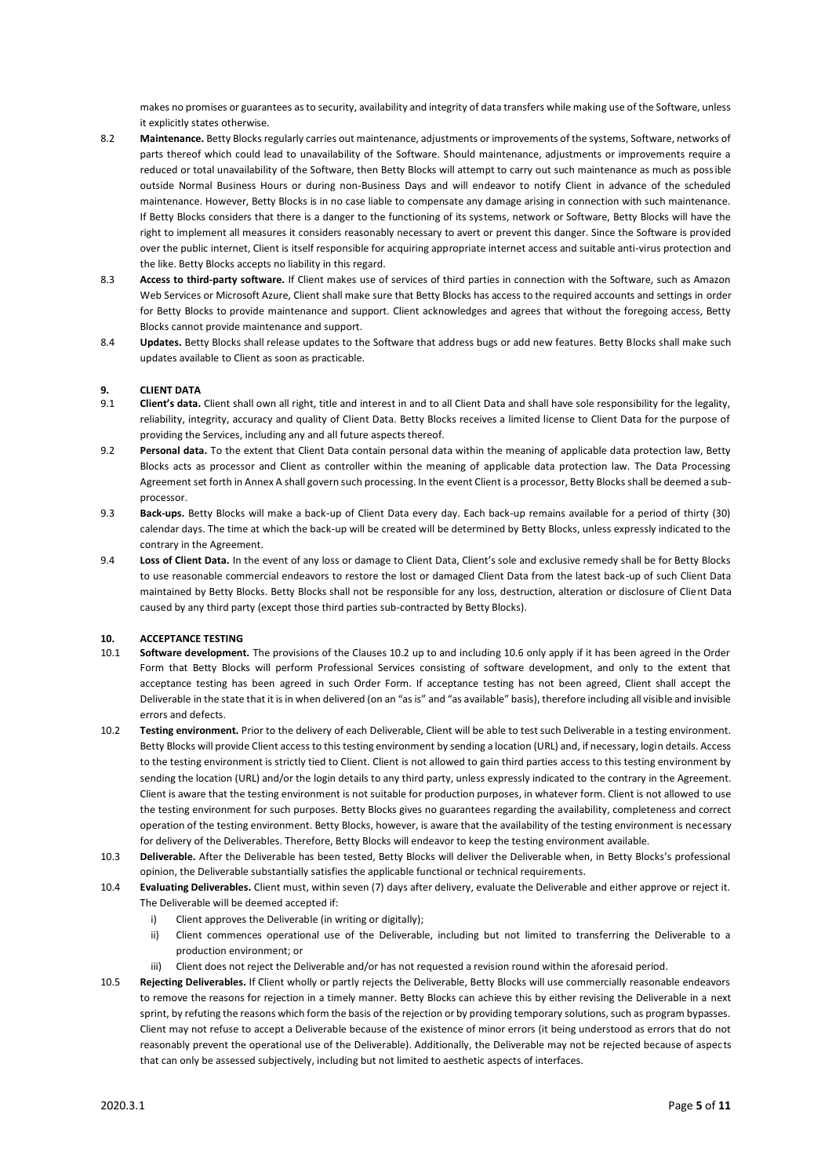makes no promises or guarantees as to security, availability and integrity of data transfers while making use of the Software, unless it explicitly states otherwise.

- 8.2 **Maintenance.** Betty Blocks regularly carries out maintenance, adjustments or improvements of the systems, Software, networks of parts thereof which could lead to unavailability of the Software. Should maintenance, adjustments or improvements require a reduced or total unavailability of the Software, then Betty Blocks will attempt to carry out such maintenance as much as possible outside Normal Business Hours or during non-Business Days and will endeavor to notify Client in advance of the scheduled maintenance. However, Betty Blocks is in no case liable to compensate any damage arising in connection with such maintenance. If Betty Blocks considers that there is a danger to the functioning of its systems, network or Software, Betty Blocks will have the right to implement all measures it considers reasonably necessary to avert or prevent this danger. Since the Software is provided over the public internet, Client is itself responsible for acquiring appropriate internet access and suitable anti-virus protection and the like. Betty Blocks accepts no liability in this regard.
- 8.3 **Access to third-party software.** If Client makes use of services of third parties in connection with the Software, such as Amazon Web Services or Microsoft Azure, Client shall make sure that Betty Blocks has access to the required accounts and settings in order for Betty Blocks to provide maintenance and support. Client acknowledges and agrees that without the foregoing access, Betty Blocks cannot provide maintenance and support.
- 8.4 **Updates.** Betty Blocks shall release updates to the Software that address bugs or add new features. Betty Blocks shall make such updates available to Client as soon as practicable.

## **9. CLIENT DATA**

- 9.1 **Client's data.** Client shall own all right, title and interest in and to all Client Data and shall have sole responsibility for the legality, reliability, integrity, accuracy and quality of Client Data. Betty Blocks receives a limited license to Client Data for the purpose of providing the Services, including any and all future aspects thereof.
- 9.2 **Personal data.** To the extent that Client Data contain personal data within the meaning of applicable data protection law, Betty Blocks acts as processor and Client as controller within the meaning of applicable data protection law. The Data Processing Agreement set forth in Annex A shall govern such processing. In the event Client is a processor, Betty Blocks shall be deemed a subprocessor.
- 9.3 **Back-ups.** Betty Blocks will make a back-up of Client Data every day. Each back-up remains available for a period of thirty (30) calendar days. The time at which the back-up will be created will be determined by Betty Blocks, unless expressly indicated to the contrary in the Agreement.
- 9.4 **Loss of Client Data.** In the event of any loss or damage to Client Data, Client's sole and exclusive remedy shall be for Betty Blocks to use reasonable commercial endeavors to restore the lost or damaged Client Data from the latest back-up of such Client Data maintained by Betty Blocks. Betty Blocks shall not be responsible for any loss, destruction, alteration or disclosure of Client Data caused by any third party (except those third parties sub-contracted by Betty Blocks).

#### **10. ACCEPTANCE TESTING**

- 10.1 **Software development.** The provisions of the Clauses 10.2 up to and including 10.6 only apply if it has been agreed in the Order Form that Betty Blocks will perform Professional Services consisting of software development, and only to the extent that acceptance testing has been agreed in such Order Form. If acceptance testing has not been agreed, Client shall accept the Deliverable in the state that it is in when delivered (on an "as is" and "as available" basis), therefore including all visible and invisible errors and defects.
- 10.2 **Testing environment.** Prior to the delivery of each Deliverable, Client will be able to test such Deliverable in a testing environment. Betty Blocks will provide Client access to this testing environment by sending a location (URL) and, if necessary, login details. Access to the testing environment is strictly tied to Client. Client is not allowed to gain third parties access to this testing environment by sending the location (URL) and/or the login details to any third party, unless expressly indicated to the contrary in the Agreement. Client is aware that the testing environment is not suitable for production purposes, in whatever form. Client is not allowed to use the testing environment for such purposes. Betty Blocks gives no guarantees regarding the availability, completeness and correct operation of the testing environment. Betty Blocks, however, is aware that the availability of the testing environment is necessary for delivery of the Deliverables. Therefore, Betty Blocks will endeavor to keep the testing environment available.
- 10.3 **Deliverable.** After the Deliverable has been tested, Betty Blocks will deliver the Deliverable when, in Betty Blocks's professional opinion, the Deliverable substantially satisfies the applicable functional or technical requirements.
- 10.4 **Evaluating Deliverables.** Client must, within seven (7) days after delivery, evaluate the Deliverable and either approve or reject it. The Deliverable will be deemed accepted if:
	- i) Client approves the Deliverable (in writing or digitally);
	- ii) Client commences operational use of the Deliverable, including but not limited to transferring the Deliverable to a production environment; or
	- iii) Client does not reject the Deliverable and/or has not requested a revision round within the aforesaid period.
- 10.5 **Rejecting Deliverables.** If Client wholly or partly rejects the Deliverable, Betty Blocks will use commercially reasonable endeavors to remove the reasons for rejection in a timely manner. Betty Blocks can achieve this by either revising the Deliverable in a next sprint, by refuting the reasons which form the basis of the rejection or by providing temporary solutions, such as program bypasses. Client may not refuse to accept a Deliverable because of the existence of minor errors (it being understood as errors that do not reasonably prevent the operational use of the Deliverable). Additionally, the Deliverable may not be rejected because of aspects that can only be assessed subjectively, including but not limited to aesthetic aspects of interfaces.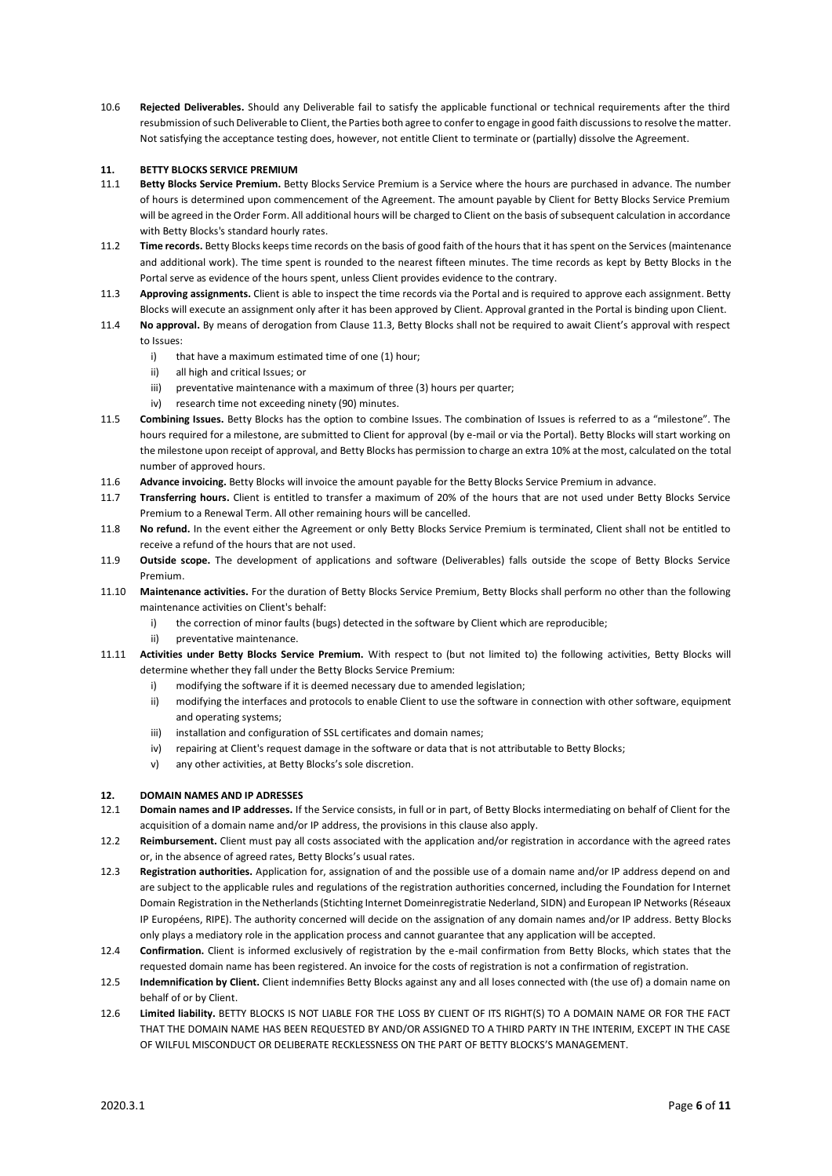10.6 **Rejected Deliverables.** Should any Deliverable fail to satisfy the applicable functional or technical requirements after the third resubmission of such Deliverable to Client, the Parties both agree to confer to engage in good faith discussions to resolve the matter. Not satisfying the acceptance testing does, however, not entitle Client to terminate or (partially) dissolve the Agreement.

## **11. BETTY BLOCKS SERVICE PREMIUM**

- 11.1 **Betty Blocks Service Premium.** Betty Blocks Service Premium is a Service where the hours are purchased in advance. The number of hours is determined upon commencement of the Agreement. The amount payable by Client for Betty Blocks Service Premium will be agreed in the Order Form. All additional hours will be charged to Client on the basis of subsequent calculation in accordance with Betty Blocks's standard hourly rates.
- 11.2 **Time records.** Betty Blocks keeps time records on the basis of good faith of the hours that it has spent on the Services (maintenance and additional work). The time spent is rounded to the nearest fifteen minutes. The time records as kept by Betty Blocks in the Portal serve as evidence of the hours spent, unless Client provides evidence to the contrary.
- 11.3 **Approving assignments.** Client is able to inspect the time records via the Portal and is required to approve each assignment. Betty Blocks will execute an assignment only after it has been approved by Client. Approval granted in the Portal is binding upon Client.
- 11.4 **No approval.** By means of derogation from Clause 11.3, Betty Blocks shall not be required to await Client's approval with respect to Issues:
	- i) that have a maximum estimated time of one (1) hour;
	- ii) all high and critical Issues; or
	- iii) preventative maintenance with a maximum of three (3) hours per quarter;
	- iv) research time not exceeding ninety (90) minutes.
- 11.5 **Combining Issues.** Betty Blocks has the option to combine Issues. The combination of Issues is referred to as a "milestone". The hours required for a milestone, are submitted to Client for approval (by e-mail or via the Portal). Betty Blocks will start working on the milestone upon receipt of approval, and Betty Blocks has permission to charge an extra 10% at the most, calculated on the total number of approved hours.
- 11.6 **Advance invoicing.** Betty Blocks will invoice the amount payable for the Betty Blocks Service Premium in advance.
- 11.7 **Transferring hours.** Client is entitled to transfer a maximum of 20% of the hours that are not used under Betty Blocks Service Premium to a Renewal Term. All other remaining hours will be cancelled.
- 11.8 **No refund.** In the event either the Agreement or only Betty Blocks Service Premium is terminated, Client shall not be entitled to receive a refund of the hours that are not used.
- 11.9 **Outside scope.** The development of applications and software (Deliverables) falls outside the scope of Betty Blocks Service Premium.
- 11.10 **Maintenance activities.** For the duration of Betty Blocks Service Premium, Betty Blocks shall perform no other than the following maintenance activities on Client's behalf:
	- i) the correction of minor faults (bugs) detected in the software by Client which are reproducible;
	- ii) preventative maintenance.
- 11.11 **Activities under Betty Blocks Service Premium.** With respect to (but not limited to) the following activities, Betty Blocks will determine whether they fall under the Betty Blocks Service Premium:
	- i) modifying the software if it is deemed necessary due to amended legislation;
	- ii) modifying the interfaces and protocols to enable Client to use the software in connection with other software, equipment and operating systems;
	- iii) installation and configuration of SSL certificates and domain names;
	- iv) repairing at Client's request damage in the software or data that is not attributable to Betty Blocks;
	- v) any other activities, at Betty Blocks's sole discretion.

# **12. DOMAIN NAMES AND IP ADRESSES**

- 12.1 **Domain names and IP addresses.** If the Service consists, in full or in part, of Betty Blocks intermediating on behalf of Client for the acquisition of a domain name and/or IP address, the provisions in this clause also apply.
- 12.2 **Reimbursement.** Client must pay all costs associated with the application and/or registration in accordance with the agreed rates or, in the absence of agreed rates, Betty Blocks's usual rates.
- 12.3 **Registration authorities.** Application for, assignation of and the possible use of a domain name and/or IP address depend on and are subject to the applicable rules and regulations of the registration authorities concerned, including the Foundation for Internet Domain Registration in the Netherlands (Stichting Internet Domeinregistratie Nederland, SIDN) and European IP Networks (Réseaux IP Européens, RIPE). The authority concerned will decide on the assignation of any domain names and/or IP address. Betty Blocks only plays a mediatory role in the application process and cannot guarantee that any application will be accepted.
- 12.4 **Confirmation.** Client is informed exclusively of registration by the e-mail confirmation from Betty Blocks, which states that the requested domain name has been registered. An invoice for the costs of registration is not a confirmation of registration.
- 12.5 **Indemnification by Client.** Client indemnifies Betty Blocks against any and all loses connected with (the use of) a domain name on behalf of or by Client.
- 12.6 **Limited liability.** BETTY BLOCKS IS NOT LIABLE FOR THE LOSS BY CLIENT OF ITS RIGHT(S) TO A DOMAIN NAME OR FOR THE FACT THAT THE DOMAIN NAME HAS BEEN REQUESTED BY AND/OR ASSIGNED TO A THIRD PARTY IN THE INTERIM, EXCEPT IN THE CASE OF WILFUL MISCONDUCT OR DELIBERATE RECKLESSNESS ON THE PART OF BETTY BLOCKS'S MANAGEMENT.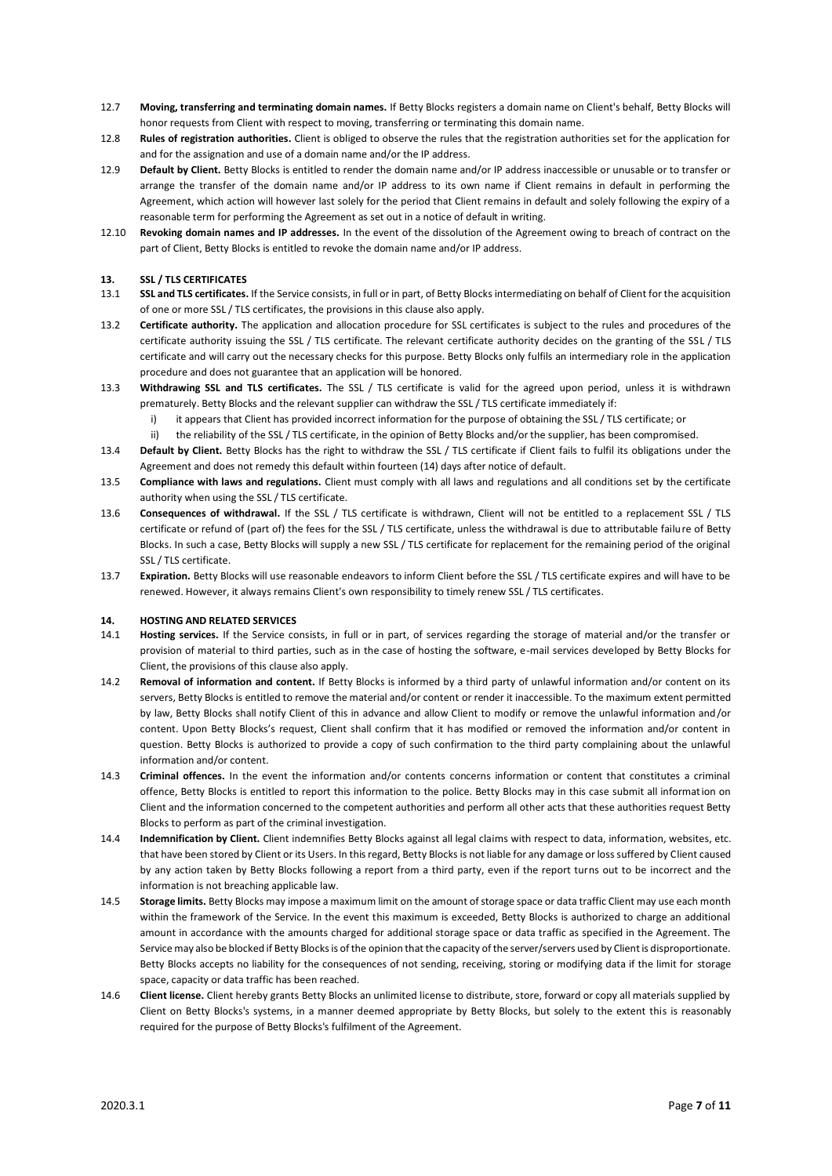- 12.7 **Moving, transferring and terminating domain names.** If Betty Blocks registers a domain name on Client's behalf, Betty Blocks will honor requests from Client with respect to moving, transferring or terminating this domain name.
- 12.8 **Rules of registration authorities.** Client is obliged to observe the rules that the registration authorities set for the application for and for the assignation and use of a domain name and/or the IP address.
- 12.9 **Default by Client.** Betty Blocks is entitled to render the domain name and/or IP address inaccessible or unusable or to transfer or arrange the transfer of the domain name and/or IP address to its own name if Client remains in default in performing the Agreement, which action will however last solely for the period that Client remains in default and solely following the expiry of a reasonable term for performing the Agreement as set out in a notice of default in writing.
- 12.10 **Revoking domain names and IP addresses.** In the event of the dissolution of the Agreement owing to breach of contract on the part of Client, Betty Blocks is entitled to revoke the domain name and/or IP address.

#### **13. SSL / TLS CERTIFICATES**

- 13.1 **SSL and TLS certificates.** If the Service consists, in full or in part, of Betty Blocks intermediating on behalf of Client for the acquisition of one or more SSL / TLS certificates, the provisions in this clause also apply.
- 13.2 **Certificate authority.** The application and allocation procedure for SSL certificates is subject to the rules and procedures of the certificate authority issuing the SSL / TLS certificate. The relevant certificate authority decides on the granting of the SSL / TLS certificate and will carry out the necessary checks for this purpose. Betty Blocks only fulfils an intermediary role in the application procedure and does not guarantee that an application will be honored.
- 13.3 **Withdrawing SSL and TLS certificates.** The SSL / TLS certificate is valid for the agreed upon period, unless it is withdrawn prematurely. Betty Blocks and the relevant supplier can withdraw the SSL / TLS certificate immediately if:
	- i) it appears that Client has provided incorrect information for the purpose of obtaining the SSL / TLS certificate; or
	- ii) the reliability of the SSL / TLS certificate, in the opinion of Betty Blocks and/or the supplier, has been compromised.
- 13.4 **Default by Client.** Betty Blocks has the right to withdraw the SSL / TLS certificate if Client fails to fulfil its obligations under the Agreement and does not remedy this default within fourteen (14) days after notice of default.
- 13.5 **Compliance with laws and regulations.** Client must comply with all laws and regulations and all conditions set by the certificate authority when using the SSL / TLS certificate.
- 13.6 **Consequences of withdrawal.** If the SSL / TLS certificate is withdrawn, Client will not be entitled to a replacement SSL / TLS certificate or refund of (part of) the fees for the SSL / TLS certificate, unless the withdrawal is due to attributable failure of Betty Blocks. In such a case, Betty Blocks will supply a new SSL / TLS certificate for replacement for the remaining period of the original SSL / TLS certificate.
- 13.7 **Expiration.** Betty Blocks will use reasonable endeavors to inform Client before the SSL / TLS certificate expires and will have to be renewed. However, it always remains Client's own responsibility to timely renew SSL / TLS certificates.

#### **14. HOSTING AND RELATED SERVICES**

- 14.1 **Hosting services.** If the Service consists, in full or in part, of services regarding the storage of material and/or the transfer or provision of material to third parties, such as in the case of hosting the software, e-mail services developed by Betty Blocks for Client, the provisions of this clause also apply.
- 14.2 **Removal of information and content.** If Betty Blocks is informed by a third party of unlawful information and/or content on its servers, Betty Blocks is entitled to remove the material and/or content or render it inaccessible. To the maximum extent permitted by law, Betty Blocks shall notify Client of this in advance and allow Client to modify or remove the unlawful information and/or content. Upon Betty Blocks's request, Client shall confirm that it has modified or removed the information and/or content in question. Betty Blocks is authorized to provide a copy of such confirmation to the third party complaining about the unlawful information and/or content.
- 14.3 **Criminal offences.** In the event the information and/or contents concerns information or content that constitutes a criminal offence, Betty Blocks is entitled to report this information to the police. Betty Blocks may in this case submit all information on Client and the information concerned to the competent authorities and perform all other acts that these authorities request Betty Blocks to perform as part of the criminal investigation.
- 14.4 **Indemnification by Client.** Client indemnifies Betty Blocks against all legal claims with respect to data, information, websites, etc. that have been stored by Client or its Users. In this regard, Betty Blocks is not liable for any damage or loss suffered by Client caused by any action taken by Betty Blocks following a report from a third party, even if the report turns out to be incorrect and the information is not breaching applicable law.
- 14.5 **Storage limits.** Betty Blocks may impose a maximum limit on the amount of storage space or data traffic Client may use each month within the framework of the Service. In the event this maximum is exceeded, Betty Blocks is authorized to charge an additional amount in accordance with the amounts charged for additional storage space or data traffic as specified in the Agreement. The Service may also be blocked if Betty Blocks is of the opinion that the capacity of the server/servers used by Client is disproportionate. Betty Blocks accepts no liability for the consequences of not sending, receiving, storing or modifying data if the limit for storage space, capacity or data traffic has been reached.
- 14.6 **Client license.** Client hereby grants Betty Blocks an unlimited license to distribute, store, forward or copy all materials supplied by Client on Betty Blocks's systems, in a manner deemed appropriate by Betty Blocks, but solely to the extent this is reasonably required for the purpose of Betty Blocks's fulfilment of the Agreement.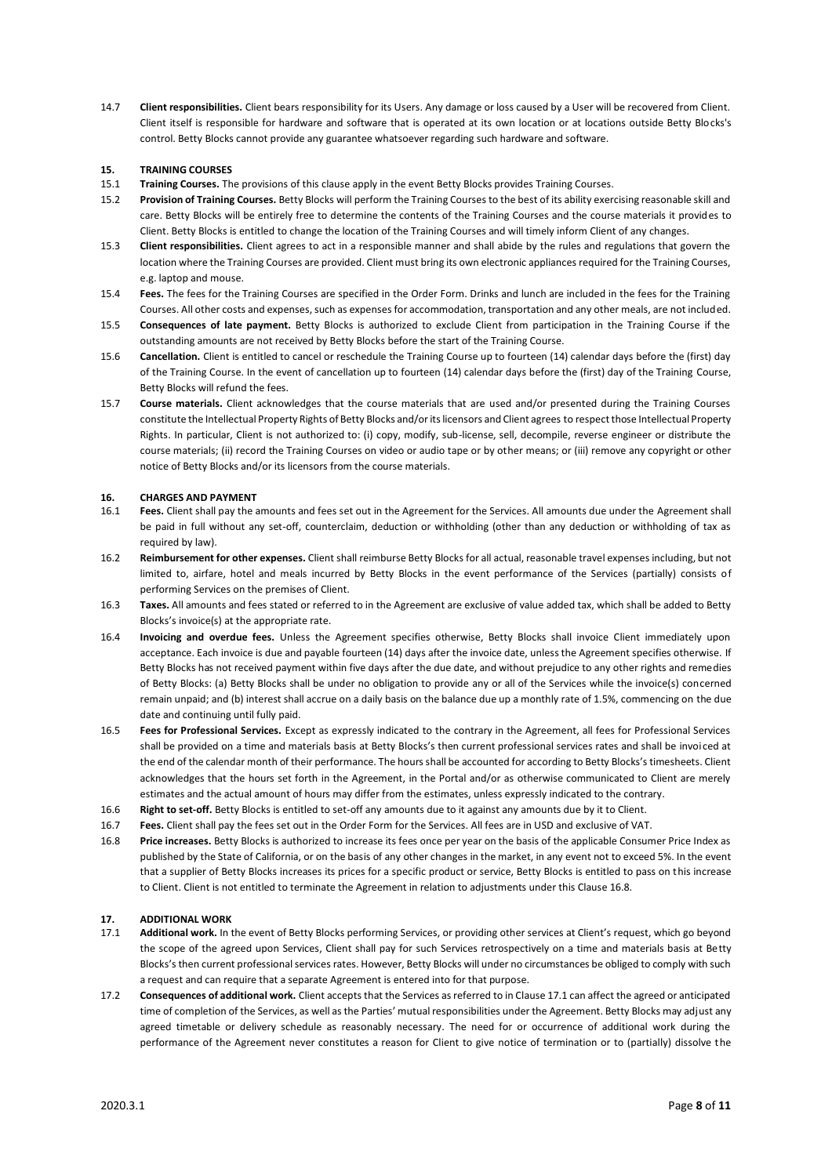14.7 **Client responsibilities.** Client bears responsibility for its Users. Any damage or loss caused by a User will be recovered from Client. Client itself is responsible for hardware and software that is operated at its own location or at locations outside Betty Blocks's control. Betty Blocks cannot provide any guarantee whatsoever regarding such hardware and software.

#### **15. TRAINING COURSES**

- 15.1 **Training Courses.** The provisions of this clause apply in the event Betty Blocks provides Training Courses.
- 15.2 **Provision of Training Courses.** Betty Blocks will perform the Training Courses to the best of its ability exercising reasonable skill and care. Betty Blocks will be entirely free to determine the contents of the Training Courses and the course materials it provides to Client. Betty Blocks is entitled to change the location of the Training Courses and will timely inform Client of any changes.
- 15.3 **Client responsibilities.** Client agrees to act in a responsible manner and shall abide by the rules and regulations that govern the location where the Training Courses are provided. Client must bring its own electronic appliances required for the Training Courses, e.g. laptop and mouse.
- 15.4 **Fees.** The fees for the Training Courses are specified in the Order Form. Drinks and lunch are included in the fees for the Training Courses. All other costs and expenses, such as expenses for accommodation, transportation and any other meals, are not included.
- 15.5 **Consequences of late payment.** Betty Blocks is authorized to exclude Client from participation in the Training Course if the outstanding amounts are not received by Betty Blocks before the start of the Training Course.
- 15.6 **Cancellation.** Client is entitled to cancel or reschedule the Training Course up to fourteen (14) calendar days before the (first) day of the Training Course. In the event of cancellation up to fourteen (14) calendar days before the (first) day of the Training Course, Betty Blocks will refund the fees.
- 15.7 **Course materials.** Client acknowledges that the course materials that are used and/or presented during the Training Courses constitute the Intellectual Property Rights of Betty Blocks and/or its licensors and Client agrees to respect those Intellectual Property Rights. In particular, Client is not authorized to: (i) copy, modify, sub-license, sell, decompile, reverse engineer or distribute the course materials; (ii) record the Training Courses on video or audio tape or by other means; or (iii) remove any copyright or other notice of Betty Blocks and/or its licensors from the course materials.

#### **16. CHARGES AND PAYMENT**

- 16.1 **Fees.** Client shall pay the amounts and fees set out in the Agreement for the Services. All amounts due under the Agreement shall be paid in full without any set-off, counterclaim, deduction or withholding (other than any deduction or withholding of tax as required by law).
- 16.2 **Reimbursement for other expenses.** Client shall reimburse Betty Blocks for all actual, reasonable travel expenses including, but not limited to, airfare, hotel and meals incurred by Betty Blocks in the event performance of the Services (partially) consists of performing Services on the premises of Client.
- 16.3 **Taxes.** All amounts and fees stated or referred to in the Agreement are exclusive of value added tax, which shall be added to Betty Blocks's invoice(s) at the appropriate rate.
- 16.4 **Invoicing and overdue fees.** Unless the Agreement specifies otherwise, Betty Blocks shall invoice Client immediately upon acceptance. Each invoice is due and payable fourteen (14) days after the invoice date, unless the Agreement specifies otherwise. If Betty Blocks has not received payment within five days after the due date, and without prejudice to any other rights and remedies of Betty Blocks: (a) Betty Blocks shall be under no obligation to provide any or all of the Services while the invoice(s) concerned remain unpaid; and (b) interest shall accrue on a daily basis on the balance due up a monthly rate of 1.5%, commencing on the due date and continuing until fully paid.
- 16.5 **Fees for Professional Services.** Except as expressly indicated to the contrary in the Agreement, all fees for Professional Services shall be provided on a time and materials basis at Betty Blocks's then current professional services rates and shall be invoiced at the end of the calendar month of their performance. The hours shall be accounted for according to Betty Blocks's timesheets. Client acknowledges that the hours set forth in the Agreement, in the Portal and/or as otherwise communicated to Client are merely estimates and the actual amount of hours may differ from the estimates, unless expressly indicated to the contrary.
- 16.6 **Right to set-off.** Betty Blocks is entitled to set-off any amounts due to it against any amounts due by it to Client.
- 16.7 **Fees.** Client shall pay the fees set out in the Order Form for the Services. All fees are in USD and exclusive of VAT.
- 16.8 **Price increases.** Betty Blocks is authorized to increase its fees once per year on the basis of the applicable Consumer Price Index as published by the State of California, or on the basis of any other changes in the market, in any event not to exceed 5%. In the event that a supplier of Betty Blocks increases its prices for a specific product or service, Betty Blocks is entitled to pass on this increase to Client. Client is not entitled to terminate the Agreement in relation to adjustments under this Clause 16.8.

#### **17. ADDITIONAL WORK**

- 17.1 **Additional work.** In the event of Betty Blocks performing Services, or providing other services at Client's request, which go beyond the scope of the agreed upon Services, Client shall pay for such Services retrospectively on a time and materials basis at Betty Blocks's then current professional services rates. However, Betty Blocks will under no circumstances be obliged to comply with such a request and can require that a separate Agreement is entered into for that purpose.
- 17.2 **Consequences of additional work.** Client accepts that the Services as referred to in Clause 17.1 can affect the agreed or anticipated time of completion of the Services, as well as the Parties' mutual responsibilities under the Agreement. Betty Blocks may adjust any agreed timetable or delivery schedule as reasonably necessary. The need for or occurrence of additional work during the performance of the Agreement never constitutes a reason for Client to give notice of termination or to (partially) dissolve the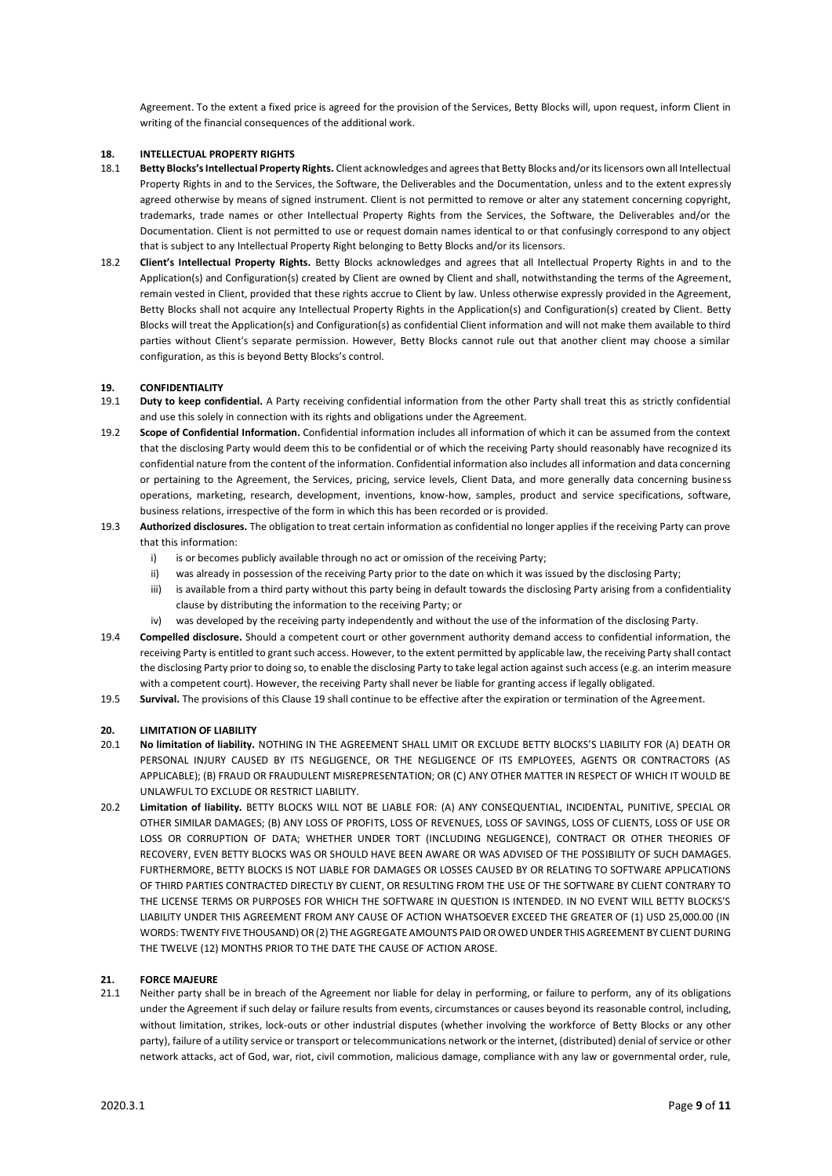Agreement. To the extent a fixed price is agreed for the provision of the Services, Betty Blocks will, upon request, inform Client in writing of the financial consequences of the additional work.

#### **18. INTELLECTUAL PROPERTY RIGHTS**

- 18.1 **Betty Blocks's Intellectual Property Rights.** Client acknowledges and agrees that Betty Blocks and/or its licensors own all Intellectual Property Rights in and to the Services, the Software, the Deliverables and the Documentation, unless and to the extent expressly agreed otherwise by means of signed instrument. Client is not permitted to remove or alter any statement concerning copyright, trademarks, trade names or other Intellectual Property Rights from the Services, the Software, the Deliverables and/or the Documentation. Client is not permitted to use or request domain names identical to or that confusingly correspond to any object that is subject to any Intellectual Property Right belonging to Betty Blocks and/or its licensors.
- 18.2 **Client's Intellectual Property Rights.** Betty Blocks acknowledges and agrees that all Intellectual Property Rights in and to the Application(s) and Configuration(s) created by Client are owned by Client and shall, notwithstanding the terms of the Agreement, remain vested in Client, provided that these rights accrue to Client by law. Unless otherwise expressly provided in the Agreement, Betty Blocks shall not acquire any Intellectual Property Rights in the Application(s) and Configuration(s) created by Client. Betty Blocks will treat the Application(s) and Configuration(s) as confidential Client information and will not make them available to third parties without Client's separate permission. However, Betty Blocks cannot rule out that another client may choose a similar configuration, as this is beyond Betty Blocks's control.

#### **19. CONFIDENTIALITY**

- 19.1 **Duty to keep confidential.** A Party receiving confidential information from the other Party shall treat this as strictly confidential and use this solely in connection with its rights and obligations under the Agreement.
- 19.2 **Scope of Confidential Information.** Confidential information includes all information of which it can be assumed from the context that the disclosing Party would deem this to be confidential or of which the receiving Party should reasonably have recognized its confidential nature from the content of the information. Confidential information also includes all information and data concerning or pertaining to the Agreement, the Services, pricing, service levels, Client Data, and more generally data concerning business operations, marketing, research, development, inventions, know-how, samples, product and service specifications, software, business relations, irrespective of the form in which this has been recorded or is provided.
- 19.3 **Authorized disclosures.** The obligation to treat certain information as confidential no longer applies if the receiving Party can prove that this information:
	- i) is or becomes publicly available through no act or omission of the receiving Party;
	- ii) was already in possession of the receiving Party prior to the date on which it was issued by the disclosing Party;
	- iii) is available from a third party without this party being in default towards the disclosing Party arising from a confidentiality clause by distributing the information to the receiving Party; or
	- iv) was developed by the receiving party independently and without the use of the information of the disclosing Party.
- 19.4 **Compelled disclosure.** Should a competent court or other government authority demand access to confidential information, the receiving Party is entitled to grant such access. However, to the extent permitted by applicable law, the receiving Party shall contact the disclosing Party prior to doing so, to enable the disclosing Party to take legal action against such access (e.g. an interim measure with a competent court). However, the receiving Party shall never be liable for granting access if legally obligated.
- 19.5 **Survival.** The provisions of this Clause 19 shall continue to be effective after the expiration or termination of the Agreement.

# **20. LIMITATION OF LIABILITY**

- 20.1 **No limitation of liability.** NOTHING IN THE AGREEMENT SHALL LIMIT OR EXCLUDE BETTY BLOCKS'S LIABILITY FOR (A) DEATH OR PERSONAL INJURY CAUSED BY ITS NEGLIGENCE, OR THE NEGLIGENCE OF ITS EMPLOYEES, AGENTS OR CONTRACTORS (AS APPLICABLE); (B) FRAUD OR FRAUDULENT MISREPRESENTATION; OR (C) ANY OTHER MATTER IN RESPECT OF WHICH IT WOULD BE UNLAWFUL TO EXCLUDE OR RESTRICT LIABILITY.
- 20.2 **Limitation of liability.** BETTY BLOCKS WILL NOT BE LIABLE FOR: (A) ANY CONSEQUENTIAL, INCIDENTAL, PUNITIVE, SPECIAL OR OTHER SIMILAR DAMAGES; (B) ANY LOSS OF PROFITS, LOSS OF REVENUES, LOSS OF SAVINGS, LOSS OF CLIENTS, LOSS OF USE OR LOSS OR CORRUPTION OF DATA; WHETHER UNDER TORT (INCLUDING NEGLIGENCE), CONTRACT OR OTHER THEORIES OF RECOVERY, EVEN BETTY BLOCKS WAS OR SHOULD HAVE BEEN AWARE OR WAS ADVISED OF THE POSSIBILITY OF SUCH DAMAGES. FURTHERMORE, BETTY BLOCKS IS NOT LIABLE FOR DAMAGES OR LOSSES CAUSED BY OR RELATING TO SOFTWARE APPLICATIONS OF THIRD PARTIES CONTRACTED DIRECTLY BY CLIENT, OR RESULTING FROM THE USE OF THE SOFTWARE BY CLIENT CONTRARY TO THE LICENSE TERMS OR PURPOSES FOR WHICH THE SOFTWARE IN QUESTION IS INTENDED. IN NO EVENT WILL BETTY BLOCKS'S LIABILITY UNDER THIS AGREEMENT FROM ANY CAUSE OF ACTION WHATSOEVER EXCEED THE GREATER OF (1) USD 25,000.00 (IN WORDS: TWENTY FIVE THOUSAND) OR (2) THE AGGREGATE AMOUNTS PAID OR OWED UNDER THIS AGREEMENT BY CLIENT DURING THE TWELVE (12) MONTHS PRIOR TO THE DATE THE CAUSE OF ACTION AROSE.

#### **21. FORCE MAJEURE**

21.1 Neither party shall be in breach of the Agreement nor liable for delay in performing, or failure to perform, any of its obligations under the Agreement if such delay or failure results from events, circumstances or causes beyond its reasonable control, including, without limitation, strikes, lock-outs or other industrial disputes (whether involving the workforce of Betty Blocks or any other party), failure of a utility service or transport or telecommunications network or the internet, (distributed) denial of service or other network attacks, act of God, war, riot, civil commotion, malicious damage, compliance with any law or governmental order, rule,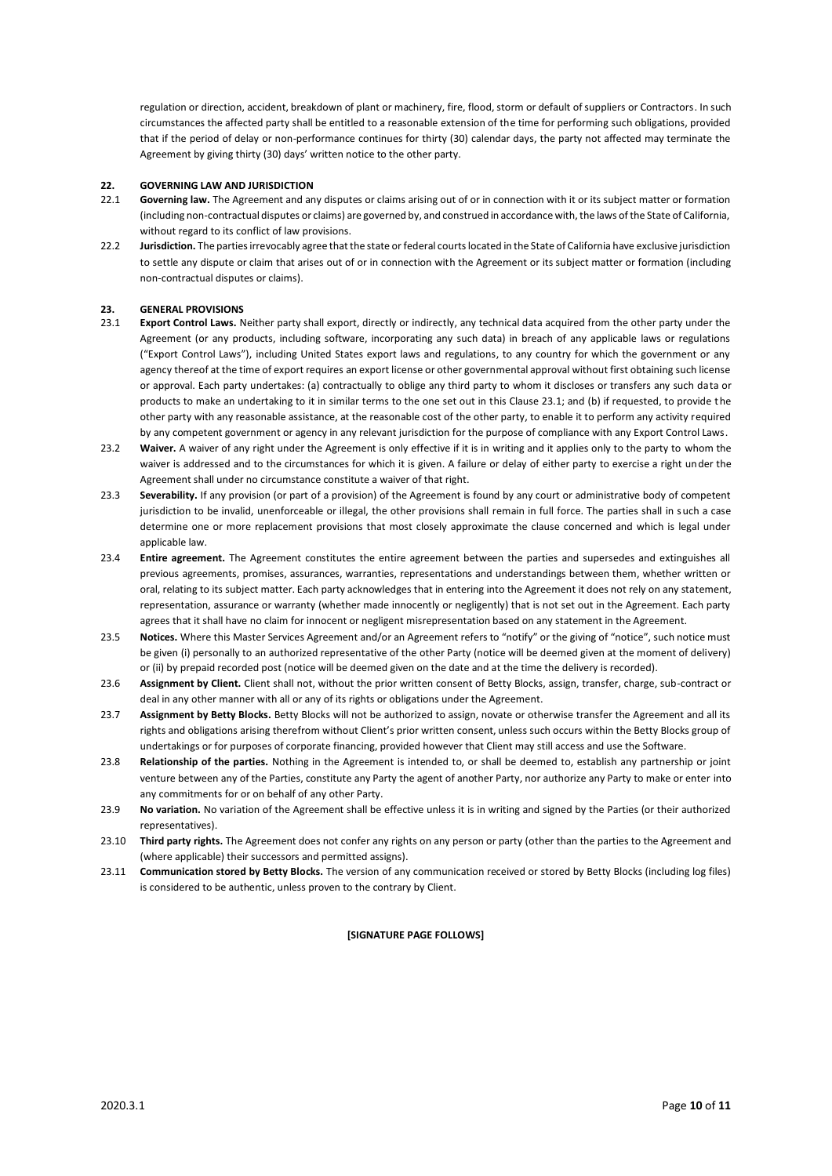regulation or direction, accident, breakdown of plant or machinery, fire, flood, storm or default of suppliers or Contractors. In such circumstances the affected party shall be entitled to a reasonable extension of the time for performing such obligations, provided that if the period of delay or non-performance continues for thirty (30) calendar days, the party not affected may terminate the Agreement by giving thirty (30) days' written notice to the other party.

#### **22. GOVERNING LAW AND JURISDICTION**

- 22.1 **Governing law.** The Agreement and any disputes or claims arising out of or in connection with it or its subject matter or formation (including non-contractual disputes or claims) are governed by, and construed in accordance with, the laws of the State of California, without regard to its conflict of law provisions.
- 22.2 **Jurisdiction.** The parties irrevocably agree that the state or federal courts located in the State of California have exclusive jurisdiction to settle any dispute or claim that arises out of or in connection with the Agreement or its subject matter or formation (including non-contractual disputes or claims).

## **23. GENERAL PROVISIONS**

- 23.1 **Export Control Laws.** Neither party shall export, directly or indirectly, any technical data acquired from the other party under the Agreement (or any products, including software, incorporating any such data) in breach of any applicable laws or regulations ("Export Control Laws"), including United States export laws and regulations, to any country for which the government or any agency thereof at the time of export requires an export license or other governmental approval without first obtaining such license or approval. Each party undertakes: (a) contractually to oblige any third party to whom it discloses or transfers any such data or products to make an undertaking to it in similar terms to the one set out in this Clause 23.1; and (b) if requested, to provide the other party with any reasonable assistance, at the reasonable cost of the other party, to enable it to perform any activity required by any competent government or agency in any relevant jurisdiction for the purpose of compliance with any Export Control Laws.
- 23.2 Waiver. A waiver of any right under the Agreement is only effective if it is in writing and it applies only to the party to whom the waiver is addressed and to the circumstances for which it is given. A failure or delay of either party to exercise a right under the Agreement shall under no circumstance constitute a waiver of that right.
- 23.3 **Severability.** If any provision (or part of a provision) of the Agreement is found by any court or administrative body of competent jurisdiction to be invalid, unenforceable or illegal, the other provisions shall remain in full force. The parties shall in such a case determine one or more replacement provisions that most closely approximate the clause concerned and which is legal under applicable law.
- 23.4 **Entire agreement.** The Agreement constitutes the entire agreement between the parties and supersedes and extinguishes all previous agreements, promises, assurances, warranties, representations and understandings between them, whether written or oral, relating to its subject matter. Each party acknowledges that in entering into the Agreement it does not rely on any statement, representation, assurance or warranty (whether made innocently or negligently) that is not set out in the Agreement. Each party agrees that it shall have no claim for innocent or negligent misrepresentation based on any statement in the Agreement.
- 23.5 **Notices.** Where this Master Services Agreement and/or an Agreement refers to "notify" or the giving of "notice", such notice must be given (i) personally to an authorized representative of the other Party (notice will be deemed given at the moment of delivery) or (ii) by prepaid recorded post (notice will be deemed given on the date and at the time the delivery is recorded).
- 23.6 **Assignment by Client.** Client shall not, without the prior written consent of Betty Blocks, assign, transfer, charge, sub-contract or deal in any other manner with all or any of its rights or obligations under the Agreement.
- 23.7 **Assignment by Betty Blocks.** Betty Blocks will not be authorized to assign, novate or otherwise transfer the Agreement and all its rights and obligations arising therefrom without Client's prior written consent, unless such occurs within the Betty Blocks group of undertakings or for purposes of corporate financing, provided however that Client may still access and use the Software.
- 23.8 **Relationship of the parties.** Nothing in the Agreement is intended to, or shall be deemed to, establish any partnership or joint venture between any of the Parties, constitute any Party the agent of another Party, nor authorize any Party to make or enter into any commitments for or on behalf of any other Party.
- 23.9 **No variation.** No variation of the Agreement shall be effective unless it is in writing and signed by the Parties (or their authorized representatives).
- 23.10 **Third party rights.** The Agreement does not confer any rights on any person or party (other than the parties to the Agreement and (where applicable) their successors and permitted assigns).
- 23.11 **Communication stored by Betty Blocks.** The version of any communication received or stored by Betty Blocks (including log files) is considered to be authentic, unless proven to the contrary by Client.

#### **[SIGNATURE PAGE FOLLOWS]**